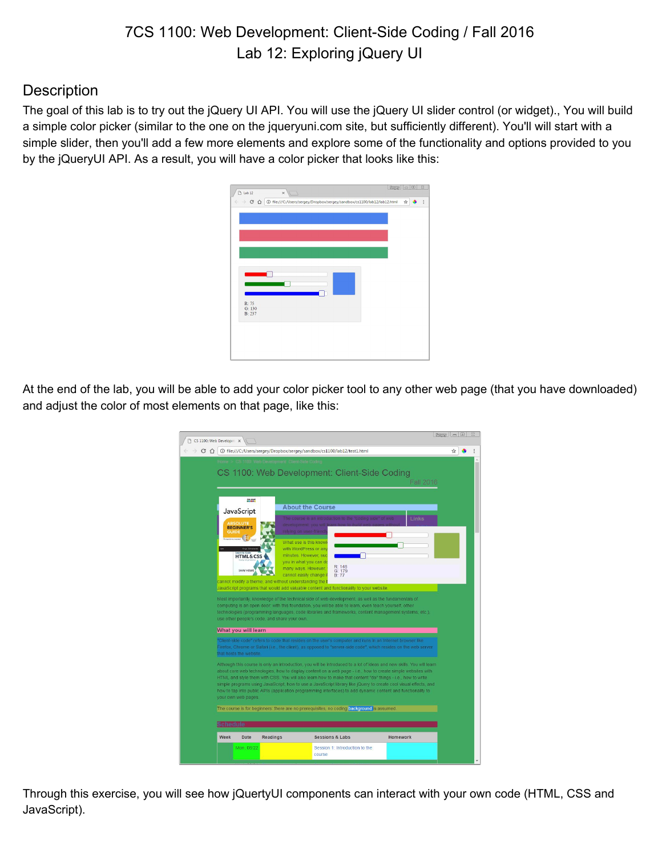# 7CS 1100: Web Development: Client-Side Coding / Fall 2016 Lab 12: Exploring jQuery UI

## **Description**

The goal of this lab is to try out the jQuery UI API. You will use the jQuery UI slider control (or widget)., You will build a simple color picker (similar to the one on the jqueryuni.com site, but sufficiently different). You'll will start with a simple slider, then you'll add a few more elements and explore some of the functionality and options provided to you by the jQueryUI API. As a result, you will have a color picker that looks like this:

|       |        | ← → C △ © file:///C:/Users/sergey/Dropbox/sergey/sandbox/cs1100/lab12/lab12.html | ☆● | $\ddot{\cdot}$ |
|-------|--------|----------------------------------------------------------------------------------|----|----------------|
|       |        |                                                                                  |    |                |
|       |        |                                                                                  |    |                |
|       |        |                                                                                  |    |                |
|       |        |                                                                                  |    |                |
|       |        |                                                                                  |    |                |
|       |        |                                                                                  |    |                |
|       |        |                                                                                  |    |                |
|       |        |                                                                                  |    |                |
|       |        |                                                                                  |    |                |
|       |        |                                                                                  |    |                |
|       |        |                                                                                  |    |                |
|       |        |                                                                                  |    |                |
|       |        |                                                                                  |    |                |
|       |        |                                                                                  |    |                |
|       |        |                                                                                  |    |                |
|       |        |                                                                                  |    |                |
|       |        |                                                                                  |    |                |
|       |        |                                                                                  |    |                |
|       |        |                                                                                  |    |                |
| R: 75 |        |                                                                                  |    |                |
|       | G: 130 |                                                                                  |    |                |
|       | B: 237 |                                                                                  |    |                |
|       |        |                                                                                  |    |                |
|       |        |                                                                                  |    |                |
|       |        |                                                                                  |    |                |
|       |        |                                                                                  |    |                |
|       |        |                                                                                  |    |                |
|       |        |                                                                                  |    |                |
|       |        |                                                                                  |    |                |

At the end of the lab, you will be able to add your color picker tool to any other web page (that you have downloaded) and adjust the color of most elements on that page, like this:



Through this exercise, you will see how jQuertyUI components can interact with your own code (HTML, CSS and JavaScript).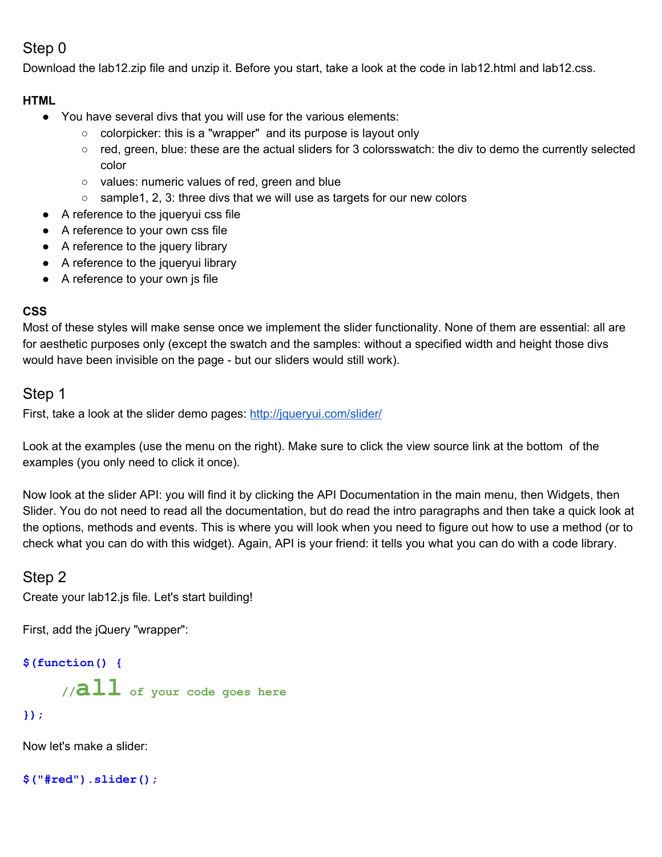## Step 0

Download the lab12.zip file and unzip it. Before you start, take a look at the code in lab12.html and lab12.css.

### **HTML**

- You have several divs that you will use for the various elements:
	- colorpicker: this is a "wrapper" and its purpose is layout only
	- red, green, blue: these are the actual sliders for 3 colorsswatch: the div to demo the currently selected color
	- o values: numeric values of red, green and blue
	- sample1, 2, 3: three divs that we will use as targets for our new colors
- A reference to the jqueryui css file
- A reference to your own css file
- A reference to the jquery library
- A reference to the jqueryui library
- A reference to your own js file

### **CSS**

Most of these styles will make sense once we implement the slider functionality. None of them are essential: all are for aesthetic purposes only (except the swatch and the samples: without a specified width and height those divs would have been invisible on the page - but our sliders would still work).

## Step 1

First, take a look at the slider demo pages: <http://jqueryui.com/slider/>

Look at the examples (use the menu on the right). Make sure to click the view source link at the bottom of the examples (you only need to click it once).

Now look at the slider API: you will find it by clicking the API Documentation in the main menu, then Widgets, then Slider. You do not need to read all the documentation, but do read the intro paragraphs and then take a quick look at the options, methods and events. This is where you will look when you need to figure out how to use a method (or to check what you can do with this widget). Again, API is your friend: it tells you what you can do with a code library.

## Step 2

Create your lab12.js file. Let's start building!

First, add the jQuery "wrapper":

**\$(function() {**

**//all of your code goes here**

### **});**

Now let's make a slider:

**\$("#red").slider();**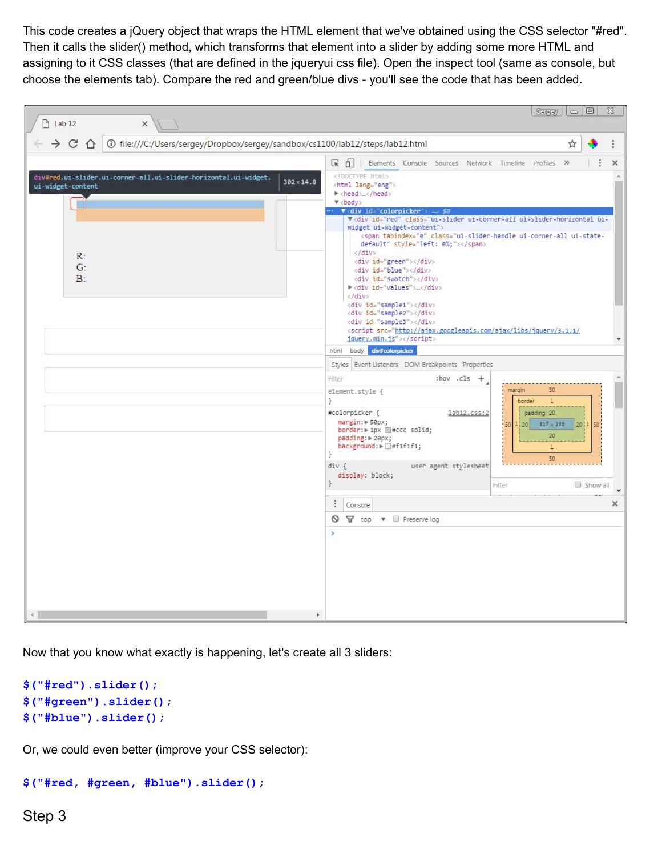This code creates a jQuery object that wraps the HTML element that we've obtained using the CSS selector "#red". Then it calls the slider() method, which transforms that element into a slider by adding some more HTML and assigning to it CSS classes (that are defined in the jqueryui css file). Open the inspect tool (same as console, but choose the elements tab). Compare the red and green/blue divs - you'll see the code that has been added.

| $\uparrow$ Lab 12<br>$\times$                                                                                              | $\Sigma$<br>$\Box$ $\Box$<br>Sargery                                                                                                                                                                                                                                                                                                                                                                                                                                                                                                                                                                                                                                                                                                                                                                                                                        |
|----------------------------------------------------------------------------------------------------------------------------|-------------------------------------------------------------------------------------------------------------------------------------------------------------------------------------------------------------------------------------------------------------------------------------------------------------------------------------------------------------------------------------------------------------------------------------------------------------------------------------------------------------------------------------------------------------------------------------------------------------------------------------------------------------------------------------------------------------------------------------------------------------------------------------------------------------------------------------------------------------|
| (i) file:///C:/Users/sergey/Dropbox/sergey/sandbox/cs1100/lab12/steps/lab12.html<br>$\rightarrow$ C $\cap$                 | ☆                                                                                                                                                                                                                                                                                                                                                                                                                                                                                                                                                                                                                                                                                                                                                                                                                                                           |
|                                                                                                                            | ほ 印<br>Elements Console Sources Network Timeline Profiles »<br>$\times$                                                                                                                                                                                                                                                                                                                                                                                                                                                                                                                                                                                                                                                                                                                                                                                     |
| div#red.ui-slider.ui-corner-all.ui-slider-horizontal.ui-widget.<br>$302 \times 14.8$<br>ui-widget-content<br>R<br>G:<br>B: | html<br><html lang="eng"><br/>▶ <head></head><br/><math>\Psi</math><body><br/><math>\cdots</math> <b>v</b> div id="colorpicker"&gt; == \$0<br/>V<div class="ui-slider ui-corner-all ui-slider-horizontal ui-&lt;br&gt;widget ui-widget-content" id="red"><br/><span class="ui-slider-handle ui-corner-all ui-state-&lt;br&gt;default" style="left: 0%;" tabindex="0"></span><br/><math>\langle</math>/div&gt;<br/><div id="green"></div><br/><div id="blue"></div><br/><div id="swatch"></div><br/>▶<div id="values"></div><br/><math>\langle</math>/div&gt;<br/><div id="sample1"></div><br/><div id="sample2"></div><br/><div id="sample3"></div><br/><script src="http://ajax.googleapis.com/ajax/libs/jquery/3.1.1/&lt;/td&gt;&lt;/tr&gt;&lt;tr&gt;&lt;td&gt;&lt;/td&gt;&lt;td&gt;jquery.min.js"></script><br/>body div#colorpicker</div></body></html> |
|                                                                                                                            | html<br>Styles Event Listeners DOM Breakpoints Properties                                                                                                                                                                                                                                                                                                                                                                                                                                                                                                                                                                                                                                                                                                                                                                                                   |
|                                                                                                                            | Filter<br>:hov .cls $+$<br>margin<br>50<br>element.style {<br>ł<br>border<br>$\mathbf{1}$<br>#colorpicker {<br>lab12.css:2<br>padding 20<br>margin: > 50px;<br>$317 \times 136$<br>20 1 50<br>1/20<br>50<br>border: ▶ 1px ■#ccc solid;<br>20<br>padding: > 20px;<br>background: Fi#f1f1f1;<br>$\mathbf{1}$<br>J<br>50<br>user agent stylesheet<br>div f<br>display: block;                                                                                                                                                                                                                                                                                                                                                                                                                                                                                  |
|                                                                                                                            | ł.<br>Filter<br>Show all                                                                                                                                                                                                                                                                                                                                                                                                                                                                                                                                                                                                                                                                                                                                                                                                                                    |
|                                                                                                                            | $\ddot{\ddot{\cdot}}$<br>×<br>Console                                                                                                                                                                                                                                                                                                                                                                                                                                                                                                                                                                                                                                                                                                                                                                                                                       |
| r                                                                                                                          | $^{\circ}$<br>$\triangledown$ top $\triangledown$ $\blacksquare$ Preserve log<br>$\,$                                                                                                                                                                                                                                                                                                                                                                                                                                                                                                                                                                                                                                                                                                                                                                       |

Now that you know what exactly is happening, let's create all 3 sliders:

```
$("#red").slider();
$("#green").slider();
$("#blue").slider();
```
Or, we could even better (improve your CSS selector):

```
$("#red, #green, #blue").slider();
```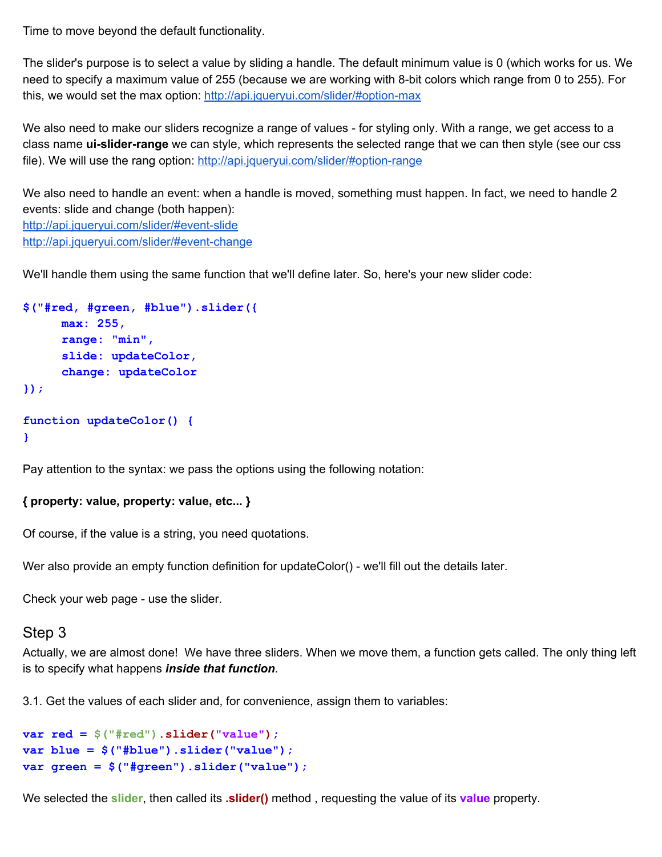Time to move beyond the default functionality.

The slider's purpose is to select a value by sliding a handle. The default minimum value is 0 (which works for us. We need to specify a maximum value of 255 (because we are working with 8-bit colors which range from 0 to 255). For this, we would set the max option: <http://api.jqueryui.com/slider/#option-max>

We also need to make our sliders recognize a range of values - for styling only. With a range, we get access to a class name **ui-slider-range** we can style, which represents the selected range that we can then style (see our css file). We will use the rang option:<http://api.jqueryui.com/slider/#option-range>

We also need to handle an event: when a handle is moved, something must happen. In fact, we need to handle 2 events: slide and change (both happen): <http://api.jqueryui.com/slider/#event-slide> <http://api.jqueryui.com/slider/#event-change>

We'll handle them using the same function that we'll define later. So, here's your new slider code:

```
$("#red, #green, #blue").slider({
     max: 255,
     range: "min",
     slide: updateColor,
     change: updateColor
});
function updateColor() {
}
```
Pay attention to the syntax: we pass the options using the following notation:

### **{ property: value, property: value, etc... }**

Of course, if the value is a string, you need quotations.

Wer also provide an empty function definition for updateColor() - we'll fill out the details later.

Check your web page - use the slider.

#### Step 3

Actually, we are almost done! We have three sliders. When we move them, a function gets called. The only thing left is to specify what happens *inside that function*.

3.1. Get the values of each slider and, for convenience, assign them to variables:

```
var red = $("#red").slider("value");
var blue = $("#blue").slider("value");
var green = $("#green").slider("value");
```
We selected the **slider**, then called its **.slider()** method , requesting the value of its **value** property.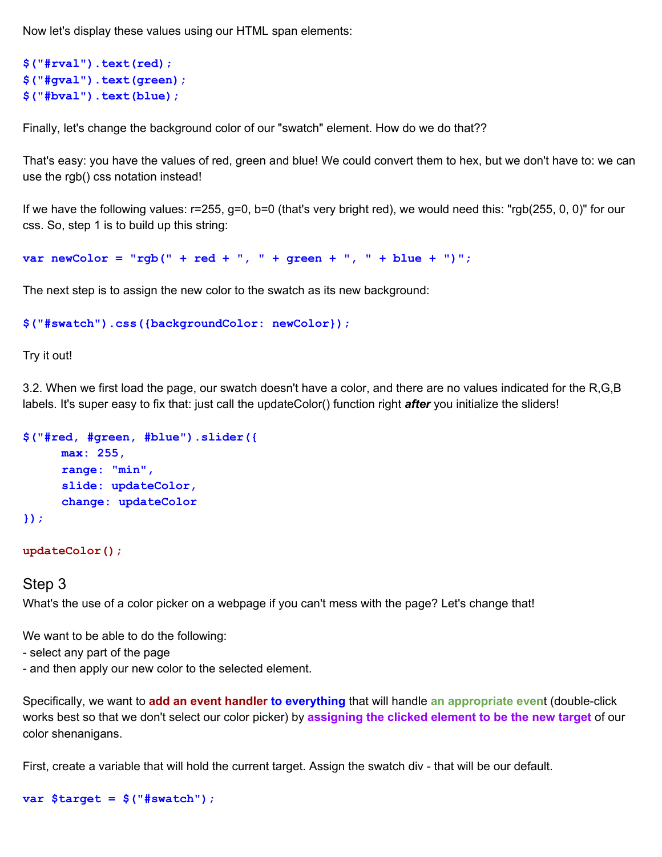Now let's display these values using our HTML span elements:

```
$("#rval").text(red);
$("#gval").text(green);
$("#bval").text(blue);
```
Finally, let's change the background color of our "swatch" element. How do we do that??

That's easy: you have the values of red, green and blue! We could convert them to hex, but we don't have to: we can use the rgb() css notation instead!

If we have the following values: r=255, g=0, b=0 (that's very bright red), we would need this: "rgb(255, 0, 0)" for our css. So, step 1 is to build up this string:

**var newColor = "rgb(" + red + ", " + green + ", " + blue + ")";**

The next step is to assign the new color to the swatch as its new background:

```
$("#swatch").css({backgroundColor: newColor});
```
Try it out!

3.2. When we first load the page, our swatch doesn't have a color, and there are no values indicated for the R,G,B labels. It's super easy to fix that: just call the updateColor() function right *after* you initialize the sliders!

```
$("#red, #green, #blue").slider({
     max: 255,
     range: "min",
     slide: updateColor,
     change: updateColor
});
```
#### **updateColor();**

#### Step 3

What's the use of a color picker on a webpage if you can't mess with the page? Let's change that!

We want to be able to do the following:

- select any part of the page
- and then apply our new color to the selected element.

Specifically, we want to **add an event handler to everything** that will handle **an appropriate even**t (double-click works best so that we don't select our color picker) by **assigning the clicked element to be the new target** of our color shenanigans.

First, create a variable that will hold the current target. Assign the swatch div - that will be our default.

```
var $target = $("#swatch");
```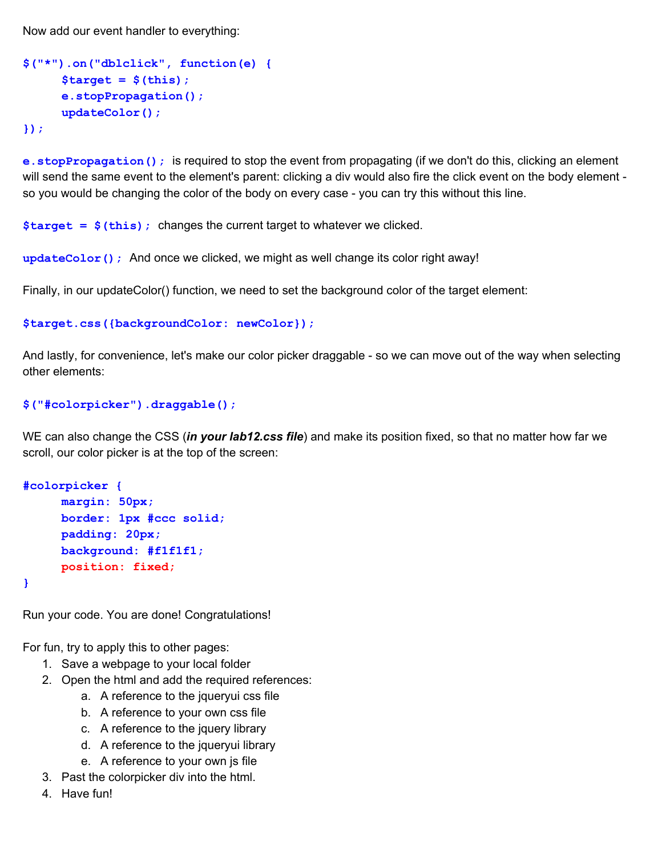Now add our event handler to everything:

```
$("*").on("dblclick", function(e) {
     $target = $(this);
     e.stopPropagation();
     updateColor();
});
```
**e.stopPropagation();** is required to stop the event from propagating (if we don't do this, clicking an element will send the same event to the element's parent: clicking a div would also fire the click event on the body element so you would be changing the color of the body on every case - you can try this without this line.

**\$target = \$(this);** changes the current target to whatever we clicked.

**updateColor();** And once we clicked, we might as well change its color right away!

Finally, in our updateColor() function, we need to set the background color of the target element:

```
$target.css({backgroundColor: newColor});
```
And lastly, for convenience, let's make our color picker draggable - so we can move out of the way when selecting other elements:

#### **\$("#colorpicker").draggable();**

 WE can also change the CSS (*in your lab12.css file*) and make its position fixed, so that no matter how far we scroll, our color picker is at the top of the screen:

```
#colorpicker {
     margin: 50px;
     border: 1px #ccc solid;
     padding: 20px;
     background: #f1f1f1;
     position: fixed;
```
**}**

Run your code. You are done! Congratulations!

For fun, try to apply this to other pages:

- 1. Save a webpage to your local folder
- 2. Open the html and add the required references:
	- a. A reference to the jqueryui css file
	- b. A reference to your own css file
	- c. A reference to the jquery library
	- d. A reference to the jqueryui library
	- e. A reference to your own js file
- 3. Past the colorpicker div into the html.
- 4. Have fun!